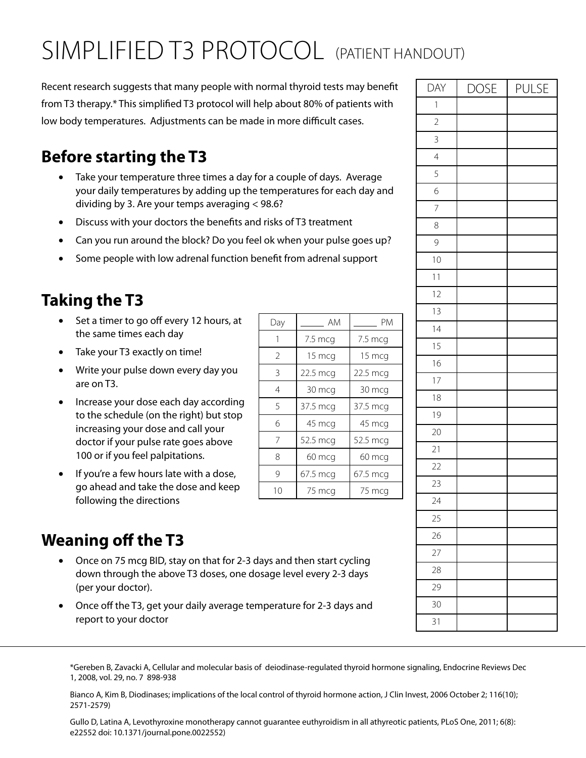# SIMPLIFIED T3 PROTOCOL (PATIENT HANDOUT)

Recent research suggests that many people with normal thyroid tests may benefit from T3 therapy.\* This simplified T3 protocol will help about 80% of patients with low body temperatures. Adjustments can be made in more difficult cases.

### **Before starting the T3**

- Take your temperature three times a day for a couple of days. Average your daily temperatures by adding up the temperatures for each day and dividing by 3. Are your temps averaging < 98.6?
- Discuss with your doctors the benefits and risks of T3 treatment
- Can you run around the block? Do you feel ok when your pulse goes up?
- Some people with low adrenal function benefit from adrenal support

### **Taking the T3**

- Set a timer to go off every 12 hours, at the same times each day
- Take your T3 exactly on time!
- Write your pulse down every day you are on T3.
- Increase your dose each day according to the schedule (on the right) but stop increasing your dose and call your doctor if your pulse rate goes above 100 or if you feel palpitations.
- If you're a few hours late with a dose, go ahead and take the dose and keep following the directions

| Day                      | AM       | РM       |  |  |
|--------------------------|----------|----------|--|--|
| 1                        | 7.5 mcg  | 7.5 mcg  |  |  |
| $\overline{\phantom{a}}$ | 15 mcg   | 15 mcg   |  |  |
| 3                        | 22.5 mcg | 22.5 mcg |  |  |
| 4                        | 30 mcg   | 30 mcg   |  |  |
| 5                        | 37.5 mcg | 37.5 mcg |  |  |
| 6                        | 45 mcg   | 45 mcg   |  |  |
| 7                        | 52.5 mcg | 52.5 mcg |  |  |
| 8                        | 60 mcg   | 60 mcg   |  |  |
| 9                        | 67.5 mcg | 67.5 mcg |  |  |
| 10                       | 75 mcg   | 75 mcg   |  |  |

#### **Weaning off the T3**

- Once on 75 mcg BID, stay on that for 2-3 days and then start cycling down through the above T3 doses, one dosage level every 2-3 days (per your doctor).
- Once off the T3, get your daily average temperature for 2-3 days and report to your doctor

\*Gereben B, Zavacki A, Cellular and molecular basis of deiodinase-regulated thyroid hormone signaling, Endocrine Reviews Dec 1, 2008, vol. 29, no. 7 898-938

Bianco A, Kim B, Diodinases; implications of the local control of thyroid hormone action, J Clin Invest, 2006 October 2; 116(10); 2571-2579)

Gullo D, Latina A, Levothyroxine monotherapy cannot guarantee euthyroidism in all athyreotic patients, PLoS One, 2011; 6(8): e22552 doi: 10.1371/journal.pone.0022552)

| DAY             | <b>DOSE</b> | PULSE |
|-----------------|-------------|-------|
| $\mathbf{1}$    |             |       |
| $\overline{2}$  |             |       |
| $\overline{3}$  |             |       |
| $\overline{4}$  |             |       |
| 5               |             |       |
| 6               |             |       |
| $\overline{7}$  |             |       |
| 8               |             |       |
| 9               |             |       |
| 10              |             |       |
| 11              |             |       |
| $\overline{12}$ |             |       |
| 13              |             |       |
| $\frac{1}{4}$   |             |       |
| 15              |             |       |
| 16              |             |       |
| 17              |             |       |
| 18              |             |       |
| 19              |             |       |
| 20              |             |       |
| 21              |             |       |
| 22              |             |       |
| 23              |             |       |
| 24              |             |       |
| 25              |             |       |
| 26              |             |       |
| 27              |             |       |
| 28              |             |       |
| 29              |             |       |
| 30              |             |       |
| 31              |             |       |